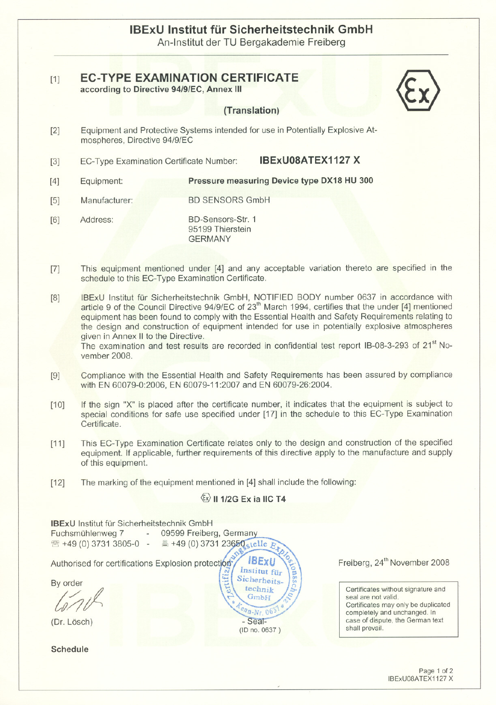# IBExU Institut für Sicherheitstechnik GmbH An-Institut der TU Bergakademie Freiberg

#### [1] **EC-TYPE EXAMINATION CERTIFICATE** according to Directive 94/9/EC, Annex 111

### (Translation)

- [2] Equipment and Protective Systems intended tor use in Potentially Explosive Atmospheres, Directive 94/9/EC
- [3] EC-Type Examination Certificate Number: **IBExU08ATEX1127 X**

[4] Equipment: Pressure measuring Device type DX18 HU 300

- [5] Manufacturer: BD SENSORS GmbH
- [6] Address: BD-Sensors-Str. 1 95199 Thierstein GERMANY
- [7] This equipment mentioned under [4] and any acceptable variation thereto are specified in the schedule to this EC-Type Examination Certificate.
- [8] IBExU Institut für Sicherheitstechnik GmbH, NOTIFIED BODY number 0637 in accordance with article 9 of the Council Directive 94/9/EC of 23<sup>th</sup> March 1994, certifies that the under [4] mentioned equipment has been found to comply with the Essential Health and Safety Requirements relating to the design and construction of equipment intended tor use in potentially explosive atmospheres given in Annex II to the Directive.

The examination and test results are recorded in confidential test report IB-08-3-293 of 21<sup>st</sup> November 2008.

- [9] Compliance with the Essential Health and Safety Requirements has been assured by compliance with EN 60079-0:2006, EN 60079-11:2007 and EN 60079-26:2004.
- $[10]$ If the sign "X" is placed after the certificate number, it indicates that the equipment is subject to special conditions for safe use specified under [17] in the schedule to this EC-Type Examination Certificate.
- $[11]$ This EC-Type Examination Certificate relates only to the design and construction of the specified equipment. If applicable, further requirements of this directive apply to the manufacture and supply of this equipment.
- $[12]$ The marking of the equipment mentioned in [4] shall include the following:

## $\langle x \rangle$  II 1/2G Ex ia IIC T4

**IBExU** Institut für Sicherheitstechnik GmbH 09599 Freiberg, Germany Fuchsmühlenweg 7 and the  $\frac{1}{2}$  +49 (0) 3731 23650 stelle  $E_1$ ☎ +49 (0) 3731 3805-0 -**IBExU** Freiberg, 24<sup>th</sup> November 2008 Authorised for certifications Explosion protection Institut für Sicherheits-By order technik Certificates without signature and seal are not valid. GmbH Certificates may only be duplicated  $n_{B-Nr}$  06 completely and unchanged. In case of dispute, the German text<br>shall prevail. (Dr. Lösch) and Case of dispident of the Seal-<br>(D no 0637) and prevail. **Schedule**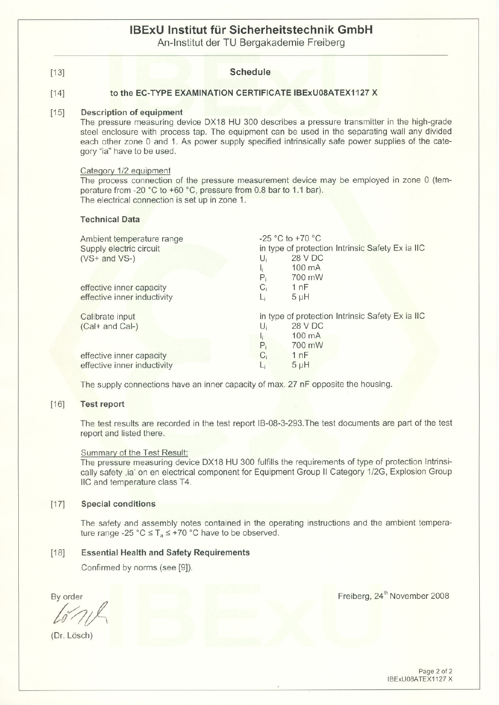# **IBExU Institut tür Sicherheitstechnik GmbH**

An-Institut der TU Bergakademie Freiberg

| $[13]$ | <b>Schedule</b>                                                                                                                                                                                                                                                                                                                                                      |                                                                                                                         |  |  |
|--------|----------------------------------------------------------------------------------------------------------------------------------------------------------------------------------------------------------------------------------------------------------------------------------------------------------------------------------------------------------------------|-------------------------------------------------------------------------------------------------------------------------|--|--|
| $[14]$ | to the EC-TYPE EXAMINATION CERTIFICATE IBExU08ATEX1127 X                                                                                                                                                                                                                                                                                                             |                                                                                                                         |  |  |
| $[15]$ | <b>Description of equipment</b><br>The pressure measuring device DX18 HU 300 describes a pressure transmitter in the high-grade<br>steel enclosure with process tap. The equipment can be used in the separating wall any divided<br>each other zone 0 and 1. As power supply specified intrinsically safe power supplies of the cate-<br>gory "ia" have to be used. |                                                                                                                         |  |  |
|        | Category 1/2 equipment<br>The process connection of the pressure measurement device may be employed in zone 0 (tem-<br>perature from -20 °C to +60 °C, pressure from 0.8 bar to 1.1 bar).<br>The electrical connection is set up in zone 1.<br><b>Technical Data</b>                                                                                                 |                                                                                                                         |  |  |
|        | Ambient temperature range<br>Supply electric circuit<br>$(VS+$ and $VS-$ )<br>$U_i$<br>$\mathsf{I}_{\mathsf{i}}$<br>$P_i$<br>$C_i$<br>effective inner capacity<br>effective inner inductivity<br>L,                                                                                                                                                                  | -25 °C to +70 °C<br>in type of protection Intrinsic Safety Ex ia IIC<br>28 V DC<br>100 mA<br>700 mW<br>1nF<br>$5 \mu H$ |  |  |
|        | Calibrate input<br>$U_i$<br>(Cal+ and Cal-)<br>$\mathbf{l}_{\mathbf{i}}$<br>$P_i$                                                                                                                                                                                                                                                                                    | in type of protection Intrinsic Safety Ex ia IIC<br><b>28 V DC</b><br>100 mA<br>700 mW                                  |  |  |
|        | $C_i$<br>effective inner capacity<br>effective inner inductivity                                                                                                                                                                                                                                                                                                     | 1nF<br>$5 \mu H$                                                                                                        |  |  |
|        | The supply connections have an inner capacity of max. 27 nF opposite the housing.                                                                                                                                                                                                                                                                                    |                                                                                                                         |  |  |

#### [16] Test report

The test results are recorded in the test report IB-08-3-293.The test documents are part of the test report and listed there.

#### Summary of the Test Result:

The pressure measuring device DX18 HU 300 fulfills the requirements of type of protection Intrinsically safety ,ia' on en electrical component for Equipment Group II Category 1/2G, Explosion Group IIC and temperature class T4.

#### [17] Special conditions

The safety and assembly notes contained in the operating instructions and the ambient temperature range -25 °C  $\leq$  T<sub>a</sub> $\leq$  +70 °C have to be observed.

#### [18] Essential Health and Safety Requirements

Confirmed by norms (see [9]).

By order

*t;J;A*

(Or. Lösch)

Freiberg, 24<sup>th</sup> November 2008